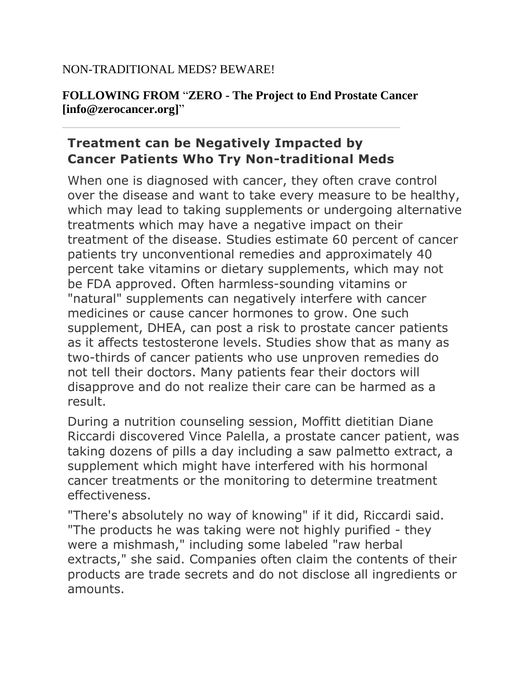## NON-TRADITIONAL MEDS? BEWARE!

## **FOLLOWING FROM** "**ZERO - The Project to End Prostate Cancer [info@zerocancer.org]**"

## **Treatment can be Negatively Impacted by Cancer Patients Who Try Non-traditional Meds**

When one is diagnosed with cancer, they often crave control over the disease and want to take every measure to be healthy, which may lead to taking supplements or undergoing alternative treatments which may have a negative impact on their treatment of the disease. Studies estimate 60 percent of cancer patients try unconventional remedies and approximately 40 percent take vitamins or dietary supplements, which may not be FDA approved. Often harmless-sounding vitamins or "natural" supplements can negatively interfere with cancer medicines or cause cancer hormones to grow. One such supplement, DHEA, can post a risk to prostate cancer patients as it affects testosterone levels. Studies show that as many as two-thirds of cancer patients who use unproven remedies do not tell their doctors. Many patients fear their doctors will disapprove and do not realize their care can be harmed as a result.

During a nutrition counseling session, Moffitt dietitian Diane Riccardi discovered Vince Palella, a prostate cancer patient, was taking dozens of pills a day including a saw palmetto extract, a supplement which might have interfered with his hormonal cancer treatments or the monitoring to determine treatment effectiveness.

"There's absolutely no way of knowing" if it did, Riccardi said. "The products he was taking were not highly purified - they were a mishmash," including some labeled "raw herbal extracts," she said. Companies often claim the contents of their products are trade secrets and do not disclose all ingredients or amounts.